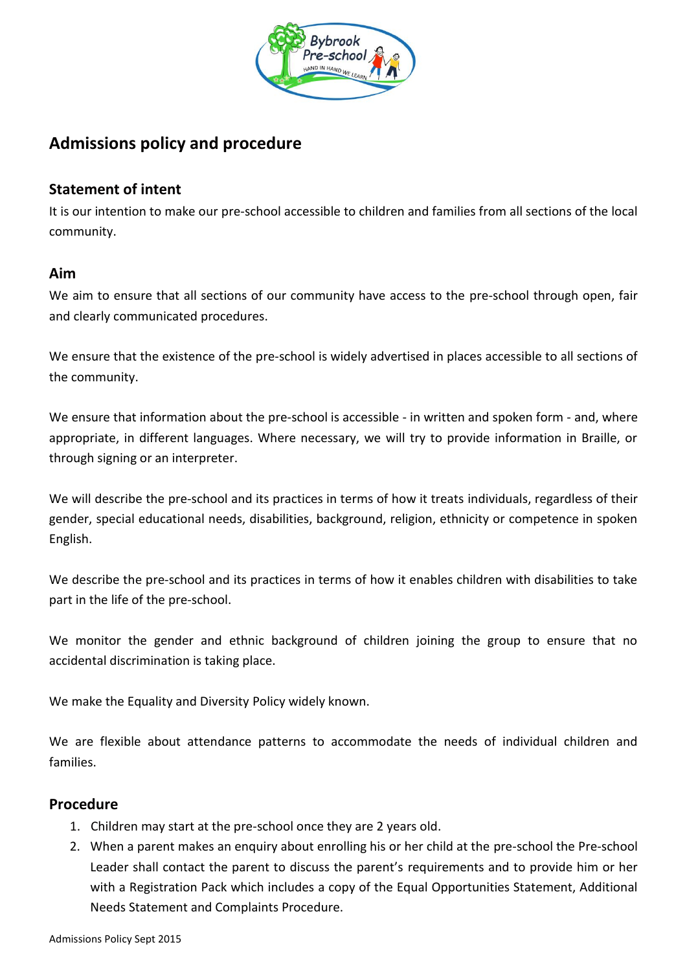

# **Admissions policy and procedure**

## **Statement of intent**

It is our intention to make our pre-school accessible to children and families from all sections of the local community.

### **Aim**

We aim to ensure that all sections of our community have access to the pre-school through open, fair and clearly communicated procedures.

We ensure that the existence of the pre-school is widely advertised in places accessible to all sections of the community.

We ensure that information about the pre-school is accessible - in written and spoken form - and, where appropriate, in different languages. Where necessary, we will try to provide information in Braille, or through signing or an interpreter.

We will describe the pre-school and its practices in terms of how it treats individuals, regardless of their gender, special educational needs, disabilities, background, religion, ethnicity or competence in spoken English.

We describe the pre-school and its practices in terms of how it enables children with disabilities to take part in the life of the pre-school.

We monitor the gender and ethnic background of children joining the group to ensure that no accidental discrimination is taking place.

We make the Equality and Diversity Policy widely known.

We are flexible about attendance patterns to accommodate the needs of individual children and families.

### **Procedure**

- 1. Children may start at the pre-school once they are 2 years old.
- 2. When a parent makes an enquiry about enrolling his or her child at the pre-school the Pre-school Leader shall contact the parent to discuss the parent's requirements and to provide him or her with a Registration Pack which includes a copy of the Equal Opportunities Statement, Additional Needs Statement and Complaints Procedure.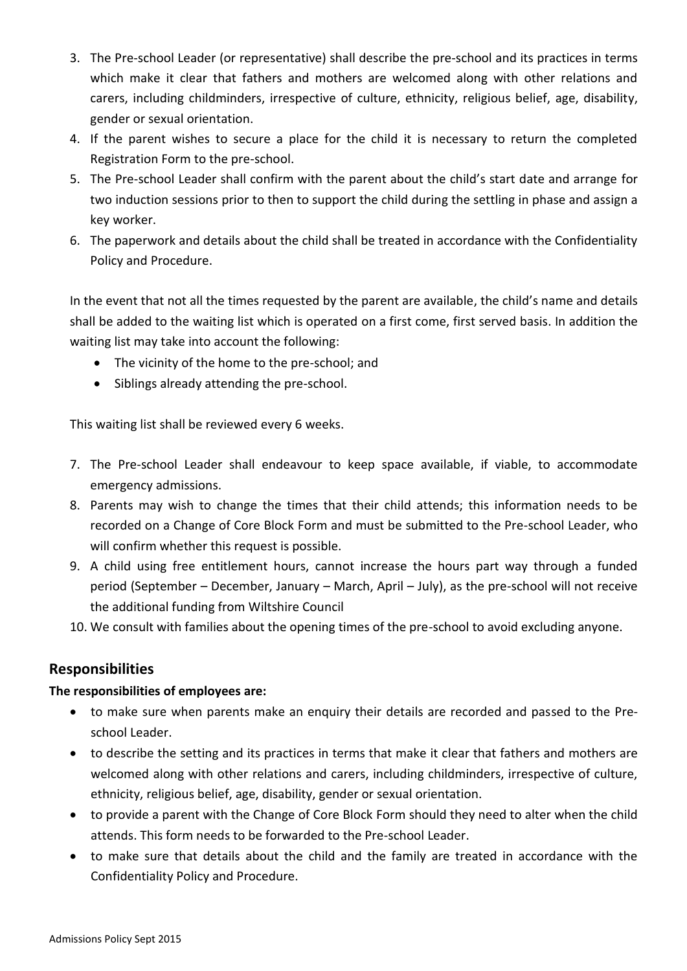- 3. The Pre-school Leader (or representative) shall describe the pre-school and its practices in terms which make it clear that fathers and mothers are welcomed along with other relations and carers, including childminders, irrespective of culture, ethnicity, religious belief, age, disability, gender or sexual orientation.
- 4. If the parent wishes to secure a place for the child it is necessary to return the completed Registration Form to the pre-school.
- 5. The Pre-school Leader shall confirm with the parent about the child's start date and arrange for two induction sessions prior to then to support the child during the settling in phase and assign a key worker.
- 6. The paperwork and details about the child shall be treated in accordance with the Confidentiality Policy and Procedure.

In the event that not all the times requested by the parent are available, the child's name and details shall be added to the waiting list which is operated on a first come, first served basis. In addition the waiting list may take into account the following:

- The vicinity of the home to the pre-school; and
- Siblings already attending the pre-school.

This waiting list shall be reviewed every 6 weeks.

- 7. The Pre-school Leader shall endeavour to keep space available, if viable, to accommodate emergency admissions.
- 8. Parents may wish to change the times that their child attends; this information needs to be recorded on a Change of Core Block Form and must be submitted to the Pre-school Leader, who will confirm whether this request is possible.
- 9. A child using free entitlement hours, cannot increase the hours part way through a funded period (September – December, January – March, April – July), as the pre-school will not receive the additional funding from Wiltshire Council
- 10. We consult with families about the opening times of the pre-school to avoid excluding anyone.

### **Responsibilities**

#### **The responsibilities of employees are:**

- to make sure when parents make an enquiry their details are recorded and passed to the Preschool Leader.
- to describe the setting and its practices in terms that make it clear that fathers and mothers are welcomed along with other relations and carers, including childminders, irrespective of culture, ethnicity, religious belief, age, disability, gender or sexual orientation.
- to provide a parent with the Change of Core Block Form should they need to alter when the child attends. This form needs to be forwarded to the Pre-school Leader.
- to make sure that details about the child and the family are treated in accordance with the Confidentiality Policy and Procedure.